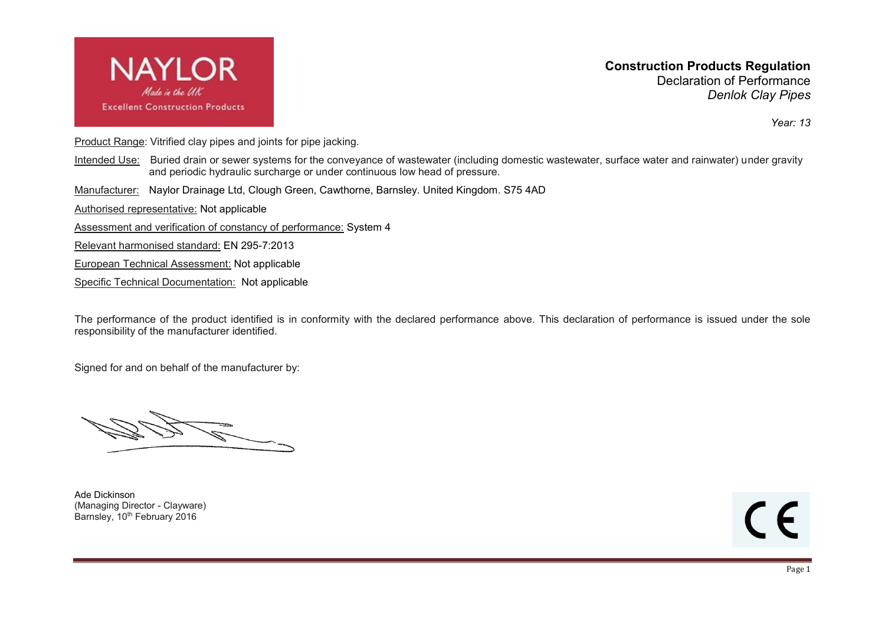

**Construction Products Regulation** Declaration of Performance *Denlok Clay Pipes*

*Year: 13*

Product Range: Vitrified clay pipes and joints for pipe jacking.

- Intended Use: Buried drain or sewer systems for the conveyance of wastewater (including domestic wastewater, surface water and rainwater) under gravity and periodic hydraulic surcharge or under continuous low head of pressure.
- Manufacturer: Naylor Drainage Ltd, Clough Green, Cawthorne, Barnsley. United Kingdom. S75 4AD

Authorised representative: Not applicable

Assessment and verification of constancy of performance: System 4

Relevant harmonised standard: EN 295-7:2013

European Technical Assessment: Not applicable

Specific Technical Documentation: Not applicable

The performance of the product identified is in conformity with the declared performance above. This declaration of performance is issued under the sole responsibility of the manufacturer identified.

Signed for and on behalf of the manufacturer by:

Ade Dickinson (Managing Director - Clayware) Barnsley, 10<sup>th</sup> February 2016